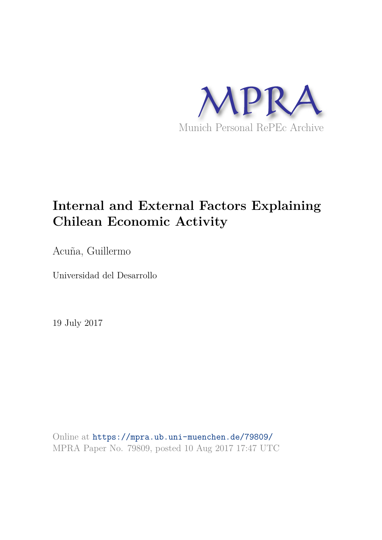

# **Internal and External Factors Explaining Chilean Economic Activity**

Acuña, Guillermo

Universidad del Desarrollo

19 July 2017

Online at https://mpra.ub.uni-muenchen.de/79809/ MPRA Paper No. 79809, posted 10 Aug 2017 17:47 UTC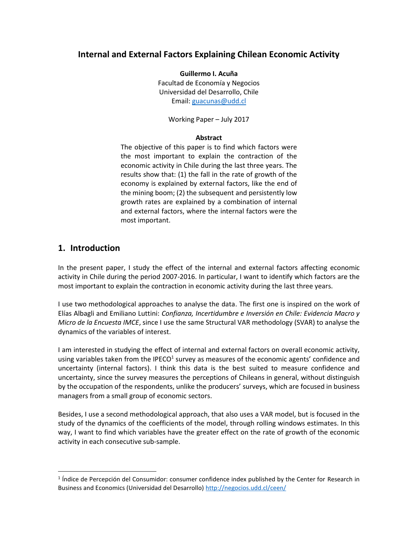## **Internal and External Factors Explaining Chilean Economic Activity**

**Guillermo I. Acuña**  Facultad de Economía y Negocios Universidad del Desarrollo, Chile Email: [guacunas@udd.cl](mailto:guacunas@udd.cl)

Working Paper – July 2017

### **Abstract**

The objective of this paper is to find which factors were the most important to explain the contraction of the economic activity in Chile during the last three years. The results show that: (1) the fall in the rate of growth of the economy is explained by external factors, like the end of the mining boom; (2) the subsequent and persistently low growth rates are explained by a combination of internal and external factors, where the internal factors were the most important.

## **1. Introduction**

 $\overline{a}$ 

In the present paper, I study the effect of the internal and external factors affecting economic activity in Chile during the period 2007-2016. In particular, I want to identify which factors are the most important to explain the contraction in economic activity during the last three years.

I use two methodological approaches to analyse the data. The first one is inspired on the work of Elías Albagli and Emiliano Luttini: *Confianza, Incertidumbre e Inversión en Chile: Evidencia Macro y Micro de la Encuesta IMCE*, since I use the same Structural VAR methodology (SVAR) to analyse the dynamics of the variables of interest.

I am interested in studying the effect of internal and external factors on overall economic activity, using variables taken from the IPECO<sup>1</sup> survey as measures of the economic agents' confidence and uncertainty (internal factors). I think this data is the best suited to measure confidence and uncertainty, since the survey measures the perceptions of Chileans in general, without distinguish by the occupation of the respondents, unlike the producers' surveys, which are focused in business managers from a small group of economic sectors.

Besides, I use a second methodological approach, that also uses a VAR model, but is focused in the study of the dynamics of the coefficients of the model, through rolling windows estimates. In this way, I want to find which variables have the greater effect on the rate of growth of the economic activity in each consecutive sub-sample.

<sup>&</sup>lt;sup>1</sup> Índice de Percepción del Consumidor: consumer confidence index published by the Center for Research in Business and Economics (Universidad del Desarrollo)<http://negocios.udd.cl/ceen/>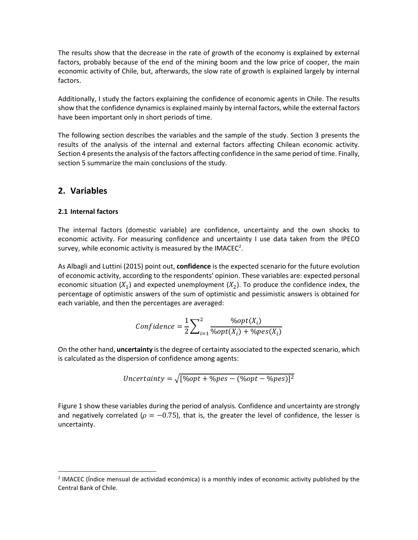The results show that the decrease in the rate of growth of the economy is explained by external factors, probably because of the end of the mining boom and the low price of cooper, the main economic activity of Chile, but, afterwards, the slow rate of growth is explained largely by internal factors.

Additionally, I study the factors explaining the confidence of economic agents in Chile. The results show that the confidence dynamics is explained mainly by internal factors, while the external factors have been important only in short periods of time.

The following section describes the variables and the sample of the study. Section 3 presents the results of the analysis of the internal and external factors affecting Chilean economic activity. Section 4 presents the analysis of the factors affecting confidence in the same period of time. Finally, section 5 summarize the main conclusions of the study.

## **2. Variables**

 $\overline{a}$ 

### **2.1 Internal factors**

The internal factors (domestic variable) are confidence, uncertainty and the own shocks to economic activity. For measuring confidence and uncertainty I use data taken from the IPECO survey, while economic activity is measured by the IMACEC<sup>2</sup>.

As Albagli and Luttini (2015) point out, **confidence** is the expected scenario for the future evolution of economic activity, according to the respondents' opinion. These variables are: expected personal economic situation  $(X_1)$  and expected unemployment  $(X_2)$ . To produce the confidence index, the percentage of optimistic answers of the sum of optimistic and pessimistic answers is obtained for each variable, and then the percentages are averaged:

$$
Confidence = \frac{1}{2} \sum_{i=1}^{2} \frac{\%opt(X_i)}{\%opt(X_i) + \%pes(X_i)}
$$

On the other hand, **uncertainty** is the degree of certainty associated to the expected scenario, which is calculated as the dispersion of confidence among agents:

Uncertainty = 
$$
\sqrt{[\%opt + \%pes - (\%opt - \%pes)]^2}
$$

Figure 1 show these variables during the period of analysis. Confidence and uncertainty are strongly and negatively correlated ( $\rho = -0.75$ ), that is, the greater the level of confidence, the lesser is uncertainty.

<sup>&</sup>lt;sup>2</sup> IMACEC (Índice mensual de actividad económica) is a monthly index of economic activity published by the Central Bank of Chile.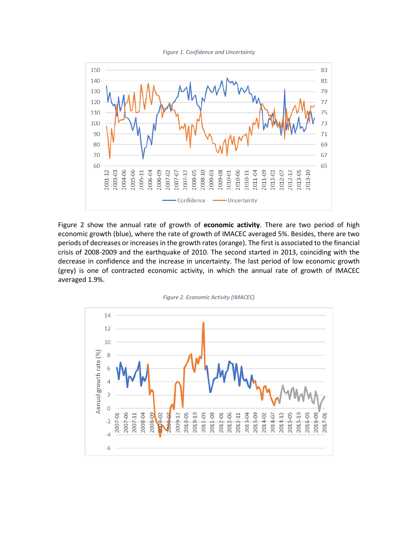



Figure 2 show the annual rate of growth of **economic activity**. There are two period of high economic growth (blue), where the rate of growth of IMACEC averaged 5%. Besides, there are two periods of decreases or increases in the growth rates (orange). The first is associated to the financial crisis of 2008-2009 and the earthquake of 2010. The second started in 2013, coinciding with the decrease in confidence and the increase in uncertainty. The last period of low economic growth (grey) is one of contracted economic activity, in which the annual rate of growth of IMACEC averaged 1.9%.



*Figure 2. Economic Activity (IMACEC)*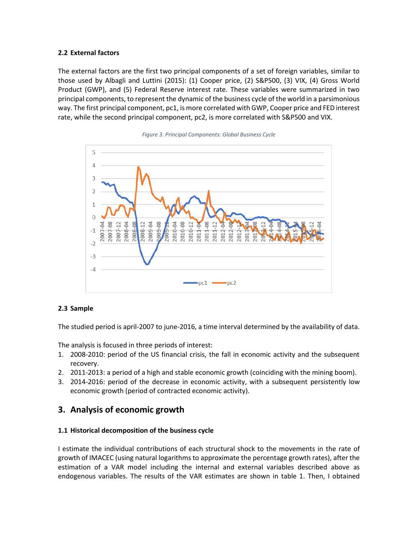## **2.2 External factors**

The external factors are the first two principal components of a set of foreign variables, similar to those used by Albagli and Luttini (2015): (1) Cooper price, (2) S&P500, (3) VIX, (4) Gross World Product (GWP), and (5) Federal Reserve interest rate. These variables were summarized in two principal components, to represent the dynamic of the business cycle of the world in a parsimonious way. The first principal component, pc1, is more correlated with GWP, Cooper price and FED interest rate, while the second principal component, pc2, is more correlated with S&P500 and VIX.





### **2.3 Sample**

The studied period is april-2007 to june-2016, a time interval determined by the availability of data.

The analysis is focused in three periods of interest:

- 1. 2008-2010: period of the US financial crisis, the fall in economic activity and the subsequent recovery.
- 2. 2011-2013: a period of a high and stable economic growth (coinciding with the mining boom).
- 3. 2014-2016: period of the decrease in economic activity, with a subsequent persistently low economic growth (period of contracted economic activity).

# **3. Analysis of economic growth**

### **1.1 Historical decomposition of the business cycle**

I estimate the individual contributions of each structural shock to the movements in the rate of growth of IMACEC (using natural logarithms to approximate the percentage growth rates), after the estimation of a VAR model including the internal and external variables described above as endogenous variables. The results of the VAR estimates are shown in table 1. Then, I obtained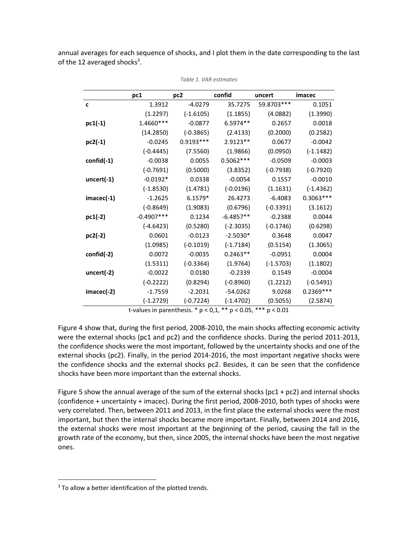annual averages for each sequence of shocks, and I plot them in the date corresponding to the last of the 12 averaged shocks<sup>3</sup>.

|              | pc1          | pc <sub>2</sub> | confid      | uncert      | imacec      |
|--------------|--------------|-----------------|-------------|-------------|-------------|
| c            | 1.3912       | $-4.0279$       | 35.7275     | 59.8703 *** | 0.1051      |
|              | (1.2297)     | $(-1.6105)$     | (1.1855)    | (4.0882)    | (1.3990)    |
| $pc1(-1)$    | 1.4660***    | $-0.0877$       | 6.5974**    | 0.2657      | 0.0018      |
|              | (14.2850)    | $(-0.3865)$     | (2.4133)    | (0.2000)    | (0.2582)    |
| pc2(-1)      | $-0.0245$    | $0.9193***$     | 2.9123**    | 0.0677      | $-0.0042$   |
|              | $(-0.4445)$  | (7.5560)        | (1.9866)    | (0.0950)    | $(-1.1482)$ |
| $confid(-1)$ | $-0.0038$    | 0.0055          | $0.5062***$ | $-0.0509$   | $-0.0003$   |
|              | $(-0.7691)$  | (0.5000)        | (3.8352)    | $(-0.7938)$ | $(-0.7920)$ |
| uncert(-1)   | $-0.0192*$   | 0.0338          | $-0.0054$   | 0.1557      | $-0.0010$   |
|              | $(-1.8530)$  | (1.4781)        | $(-0.0196)$ | (1.1631)    | $(-1.4362)$ |
| $imacec(-1)$ | $-1.2625$    | 6.1579*         | 26.4273     | $-6.4083$   | 0.3063 ***  |
|              | $(-0.8649)$  | (1.9083)        | (0.6796)    | $(-0.3391)$ | (3.1612)    |
| pc1(-2)      | $-0.4907***$ | 0.1234          | $-6.4857**$ | $-0.2388$   | 0.0044      |
|              | $(-4.6423)$  | (0.5280)        | $(-2.3035)$ | $(-0.1746)$ | (0.6298)    |
| pc2(-2)      | 0.0601       | $-0.0123$       | $-2.5030*$  | 0.3648      | 0.0047      |
|              | (1.0985)     | $(-0.1019)$     | $(-1.7184)$ | (0.5154)    | (1.3065)    |
| confid(-2)   | 0.0072       | $-0.0035$       | $0.2463**$  | $-0.0951$   | 0.0004      |
|              | (1.5311)     | $(-0.3364)$     | (1.9764)    | $(-1.5703)$ | (1.1802)    |
| uncert(-2)   | $-0.0022$    | 0.0180          | $-0.2339$   | 0.1549      | $-0.0004$   |
|              | $(-0.2222)$  | (0.8294)        | $(-0.8960)$ | (1.2212)    | $(-0.5491)$ |
| $imacec(-2)$ | $-1.7559$    | $-2.2031$       | $-54.0262$  | 9.0268      | 0.2369 ***  |
|              | $(-1.2729)$  | $(-0.7224)$     | $(-1.4702)$ | (0.5055)    | (2.5874)    |

*Table 1. VAR estimates* 

t-values in parenthesis. \* p < 0,1, \*\* p < 0.05, \*\*\* p < 0.01

Figure 4 show that, during the first period, 2008-2010, the main shocks affecting economic activity were the external shocks (pc1 and pc2) and the confidence shocks. During the period 2011-2013, the confidence shocks were the most important, followed by the uncertainty shocks and one of the external shocks (pc2). Finally, in the period 2014-2016, the most important negative shocks were the confidence shocks and the external shocks pc2. Besides, it can be seen that the confidence shocks have been more important than the external shocks.

Figure 5 show the annual average of the sum of the external shocks (pc1 + pc2) and internal shocks (confidence + uncertainty + imacec). During the first period, 2008-2010, both types of shocks were very correlated. Then, between 2011 and 2013, in the first place the external shocks were the most important, but then the internal shocks became more important. Finally, between 2014 and 2016, the external shocks were most important at the beginning of the period, causing the fall in the growth rate of the economy, but then, since 2005, the internal shocks have been the most negative ones.

 $\overline{\phantom{a}}$ 

<sup>&</sup>lt;sup>3</sup> To allow a better identification of the plotted trends.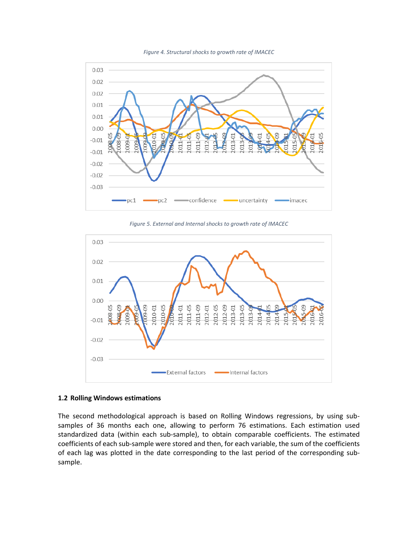



*Figure 5. External and Internal shocks to growth rate of IMACEC* 



#### **1.2 Rolling Windows estimations**

The second methodological approach is based on Rolling Windows regressions, by using subsamples of 36 months each one, allowing to perform 76 estimations. Each estimation used standardized data (within each sub-sample), to obtain comparable coefficients. The estimated coefficients of each sub-sample were stored and then, for each variable, the sum of the coefficients of each lag was plotted in the date corresponding to the last period of the corresponding subsample.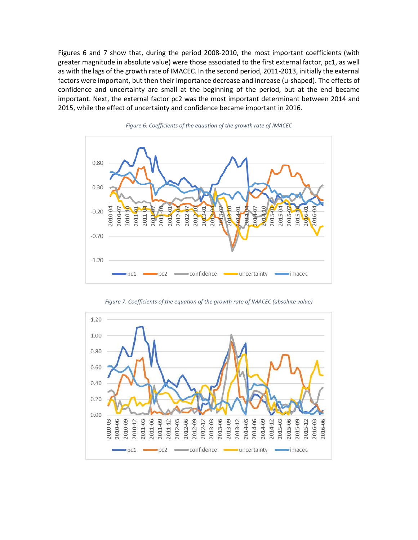Figures 6 and 7 show that, during the period 2008-2010, the most important coefficients (with greater magnitude in absolute value) were those associated to the first external factor, pc1, as well as with the lags of the growth rate of IMACEC. In the second period, 2011-2013, initially the external factors were important, but then their importance decrease and increase (u-shaped). The effects of confidence and uncertainty are small at the beginning of the period, but at the end became important. Next, the external factor pc2 was the most important determinant between 2014 and 2015, while the effect of uncertainty and confidence became important in 2016.



*Figure 6. Coefficients of the equation of the growth rate of IMACEC* 



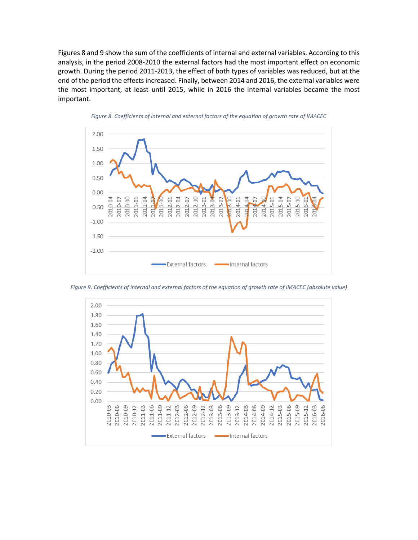Figures 8 and 9 show the sum of the coefficients of internal and external variables. According to this analysis, in the period 2008-2010 the external factors had the most important effect on economic growth. During the period 2011-2013, the effect of both types of variables was reduced, but at the end of the period the effects increased. Finally, between 2014 and 2016, the external variables were the most important, at least until 2015, while in 2016 the internal variables became the most important.







Internal factors

-External factors

*Figure 9. Coefficients of internal and external factors of the equation of growth rate of IMACEC (absolute value)*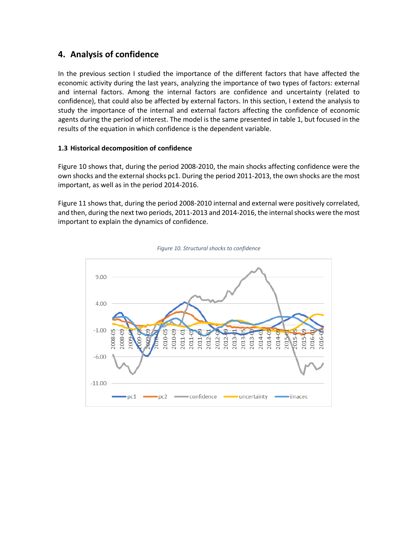# **4. Analysis of confidence**

In the previous section I studied the importance of the different factors that have affected the economic activity during the last years, analyzing the importance of two types of factors: external and internal factors. Among the internal factors are confidence and uncertainty (related to confidence), that could also be affected by external factors. In this section, I extend the analysis to study the importance of the internal and external factors affecting the confidence of economic agents during the period of interest. The model is the same presented in table 1, but focused in the results of the equation in which confidence is the dependent variable.

## **1.3 Historical decomposition of confidence**

Figure 10 shows that, during the period 2008-2010, the main shocks affecting confidence were the own shocks and the external shocks pc1. During the period 2011-2013, the own shocks are the most important, as well as in the period 2014-2016.

Figure 11 shows that, during the period 2008-2010 internal and external were positively correlated, and then, during the next two periods, 2011-2013 and 2014-2016, the internal shocks were the most important to explain the dynamics of confidence.



*Figure 10. Structural shocks to confidence*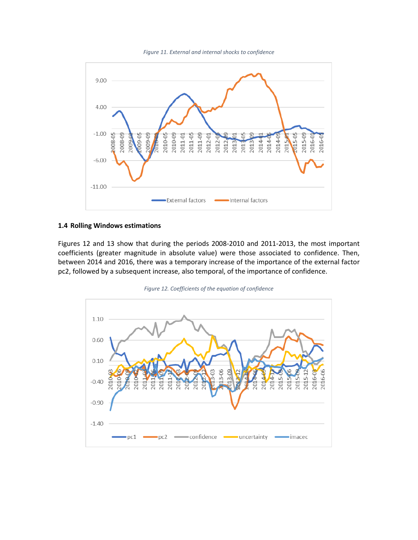



#### **1.4 Rolling Windows estimations**

Figures 12 and 13 show that during the periods 2008-2010 and 2011-2013, the most important coefficients (greater magnitude in absolute value) were those associated to confidence. Then, between 2014 and 2016, there was a temporary increase of the importance of the external factor pc2, followed by a subsequent increase, also temporal, of the importance of confidence.



*Figure 12. Coefficients of the equation of confidence*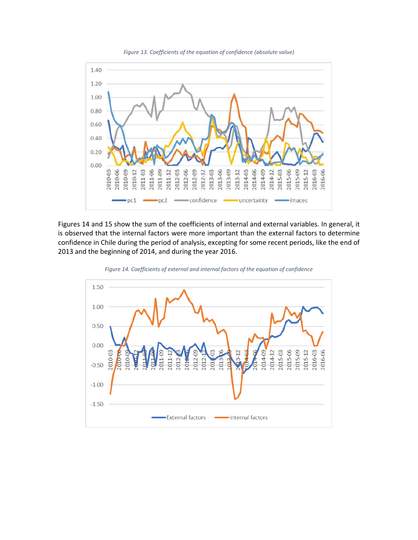

Figures 14 and 15 show the sum of the coefficients of internal and external variables. In general, it is observed that the internal factors were more important than the external factors to determine confidence in Chile during the period of analysis, excepting for some recent periods, like the end of 2013 and the beginning of 2014, and during the year 2016.



*Figure 14. Coefficients of external and internal factors of the equation of confidence*